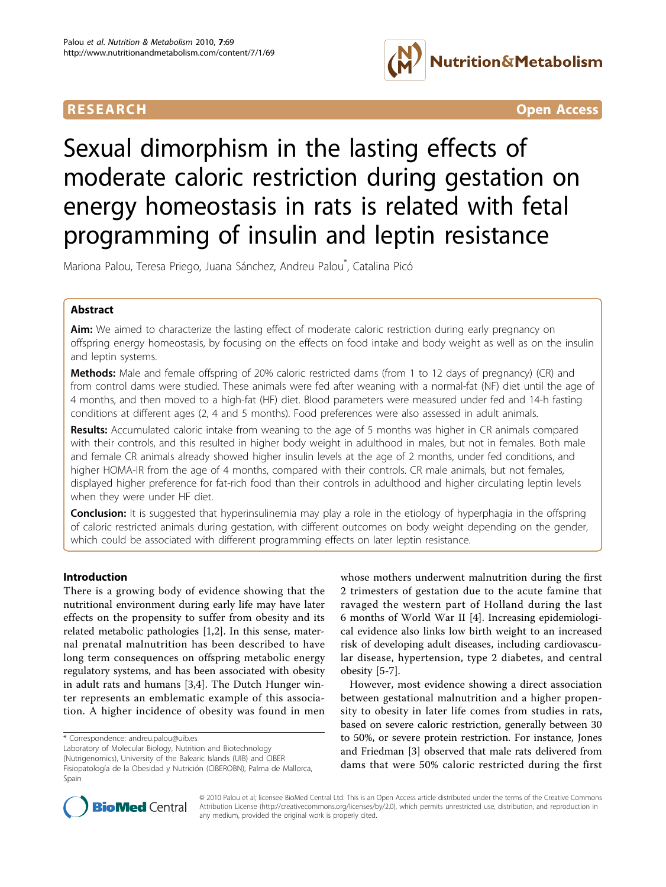

**RESEARCH CONTROL** CONTROL CONTROL CONTROL CONTROL CONTROL CONTROL CONTROL CONTROL CONTROL CONTROL CONTROL CONTROL CONTROL CONTROL CONTROL CONTROL CONTROL CONTROL CONTROL CONTROL CONTROL CONTROL CONTROL CONTROL CONTROL CON

# Sexual dimorphism in the lasting effects of moderate caloric restriction during gestation on energy homeostasis in rats is related with fetal programming of insulin and leptin resistance

Mariona Palou, Teresa Priego, Juana Sánchez, Andreu Palou\* , Catalina Picó

# Abstract

Aim: We aimed to characterize the lasting effect of moderate caloric restriction during early pregnancy on offspring energy homeostasis, by focusing on the effects on food intake and body weight as well as on the insulin and leptin systems.

**Methods:** Male and female offspring of 20% caloric restricted dams (from 1 to 12 days of pregnancy) (CR) and from control dams were studied. These animals were fed after weaning with a normal-fat (NF) diet until the age of 4 months, and then moved to a high-fat (HF) diet. Blood parameters were measured under fed and 14-h fasting conditions at different ages (2, 4 and 5 months). Food preferences were also assessed in adult animals.

**Results:** Accumulated caloric intake from weaning to the age of 5 months was higher in CR animals compared with their controls, and this resulted in higher body weight in adulthood in males, but not in females. Both male and female CR animals already showed higher insulin levels at the age of 2 months, under fed conditions, and higher HOMA-IR from the age of 4 months, compared with their controls. CR male animals, but not females, displayed higher preference for fat-rich food than their controls in adulthood and higher circulating leptin levels when they were under HF diet.

**Conclusion:** It is suggested that hyperinsulinemia may play a role in the etiology of hyperphagia in the offspring of caloric restricted animals during gestation, with different outcomes on body weight depending on the gender, which could be associated with different programming effects on later leptin resistance.

# Introduction

There is a growing body of evidence showing that the nutritional environment during early life may have later effects on the propensity to suffer from obesity and its related metabolic pathologies [[1](#page-9-0),[2\]](#page-9-0). In this sense, maternal prenatal malnutrition has been described to have long term consequences on offspring metabolic energy regulatory systems, and has been associated with obesity in adult rats and humans [\[3,4](#page-9-0)]. The Dutch Hunger winter represents an emblematic example of this association. A higher incidence of obesity was found in men

\* Correspondence: [andreu.palou@uib.es](mailto:andreu.palou@uib.es)

Laboratory of Molecular Biology, Nutrition and Biotechnology (Nutrigenomics), University of the Balearic Islands (UIB) and CIBER Fisiopatología de la Obesidad y Nutrición (CIBEROBN), Palma de Mallorca, Spain

whose mothers underwent malnutrition during the first 2 trimesters of gestation due to the acute famine that ravaged the western part of Holland during the last 6 months of World War II [\[4\]](#page-9-0). Increasing epidemiological evidence also links low birth weight to an increased risk of developing adult diseases, including cardiovascular disease, hypertension, type 2 diabetes, and central obesity [\[5](#page-9-0)-[7\]](#page-9-0).

However, most evidence showing a direct association between gestational malnutrition and a higher propensity to obesity in later life comes from studies in rats, based on severe caloric restriction, generally between 30 to 50%, or severe protein restriction. For instance, Jones and Friedman [\[3](#page-9-0)] observed that male rats delivered from dams that were 50% caloric restricted during the first



© 2010 Palou et al; licensee BioMed Central Ltd. This is an Open Access article distributed under the terms of the Creative Commons Attribution License [\(http://creativecommons.org/licenses/by/2.0](http://creativecommons.org/licenses/by/2.0)), which permits unrestricted use, distribution, and reproduction in any medium, provided the original work is properly cited.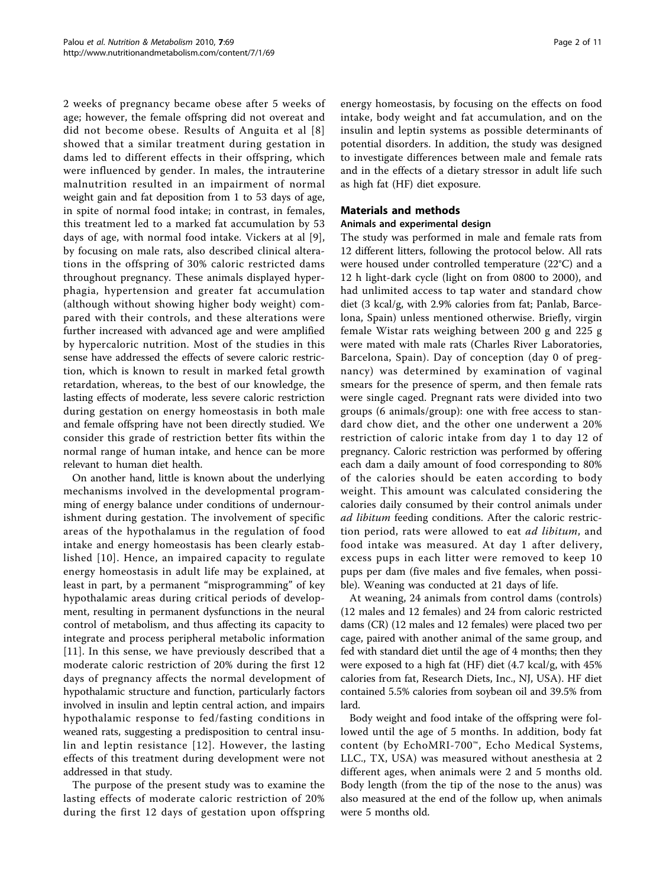2 weeks of pregnancy became obese after 5 weeks of age; however, the female offspring did not overeat and did not become obese. Results of Anguita et al [[8](#page-9-0)] showed that a similar treatment during gestation in dams led to different effects in their offspring, which were influenced by gender. In males, the intrauterine malnutrition resulted in an impairment of normal weight gain and fat deposition from 1 to 53 days of age, in spite of normal food intake; in contrast, in females, this treatment led to a marked fat accumulation by 53 days of age, with normal food intake. Vickers at al [[9](#page-9-0)], by focusing on male rats, also described clinical alterations in the offspring of 30% caloric restricted dams throughout pregnancy. These animals displayed hyperphagia, hypertension and greater fat accumulation (although without showing higher body weight) compared with their controls, and these alterations were further increased with advanced age and were amplified by hypercaloric nutrition. Most of the studies in this sense have addressed the effects of severe caloric restriction, which is known to result in marked fetal growth retardation, whereas, to the best of our knowledge, the lasting effects of moderate, less severe caloric restriction during gestation on energy homeostasis in both male and female offspring have not been directly studied. We consider this grade of restriction better fits within the normal range of human intake, and hence can be more relevant to human diet health.

On another hand, little is known about the underlying mechanisms involved in the developmental programming of energy balance under conditions of undernourishment during gestation. The involvement of specific areas of the hypothalamus in the regulation of food intake and energy homeostasis has been clearly established [[10\]](#page-9-0). Hence, an impaired capacity to regulate energy homeostasis in adult life may be explained, at least in part, by a permanent "misprogramming" of key hypothalamic areas during critical periods of development, resulting in permanent dysfunctions in the neural control of metabolism, and thus affecting its capacity to integrate and process peripheral metabolic information [[11](#page-9-0)]. In this sense, we have previously described that a moderate caloric restriction of 20% during the first 12 days of pregnancy affects the normal development of hypothalamic structure and function, particularly factors involved in insulin and leptin central action, and impairs hypothalamic response to fed/fasting conditions in weaned rats, suggesting a predisposition to central insulin and leptin resistance [[12](#page-9-0)]. However, the lasting effects of this treatment during development were not addressed in that study.

The purpose of the present study was to examine the lasting effects of moderate caloric restriction of 20% during the first 12 days of gestation upon offspring energy homeostasis, by focusing on the effects on food intake, body weight and fat accumulation, and on the insulin and leptin systems as possible determinants of potential disorders. In addition, the study was designed to investigate differences between male and female rats and in the effects of a dietary stressor in adult life such as high fat (HF) diet exposure.

# Materials and methods

#### Animals and experimental design

The study was performed in male and female rats from 12 different litters, following the protocol below. All rats were housed under controlled temperature (22°C) and a 12 h light-dark cycle (light on from 0800 to 2000), and had unlimited access to tap water and standard chow diet (3 kcal/g, with 2.9% calories from fat; Panlab, Barcelona, Spain) unless mentioned otherwise. Briefly, virgin female Wistar rats weighing between 200 g and 225 g were mated with male rats (Charles River Laboratories, Barcelona, Spain). Day of conception (day 0 of pregnancy) was determined by examination of vaginal smears for the presence of sperm, and then female rats were single caged. Pregnant rats were divided into two groups (6 animals/group): one with free access to standard chow diet, and the other one underwent a 20% restriction of caloric intake from day 1 to day 12 of pregnancy. Caloric restriction was performed by offering each dam a daily amount of food corresponding to 80% of the calories should be eaten according to body weight. This amount was calculated considering the calories daily consumed by their control animals under ad libitum feeding conditions. After the caloric restriction period, rats were allowed to eat ad libitum, and food intake was measured. At day 1 after delivery, excess pups in each litter were removed to keep 10 pups per dam (five males and five females, when possible). Weaning was conducted at 21 days of life.

At weaning, 24 animals from control dams (controls) (12 males and 12 females) and 24 from caloric restricted dams (CR) (12 males and 12 females) were placed two per cage, paired with another animal of the same group, and fed with standard diet until the age of 4 months; then they were exposed to a high fat (HF) diet (4.7 kcal/g, with 45% calories from fat, Research Diets, Inc., NJ, USA). HF diet contained 5.5% calories from soybean oil and 39.5% from lard.

Body weight and food intake of the offspring were followed until the age of 5 months. In addition, body fat content (by EchoMRI-700™, Echo Medical Systems, LLC., TX, USA) was measured without anesthesia at 2 different ages, when animals were 2 and 5 months old. Body length (from the tip of the nose to the anus) was also measured at the end of the follow up, when animals were 5 months old.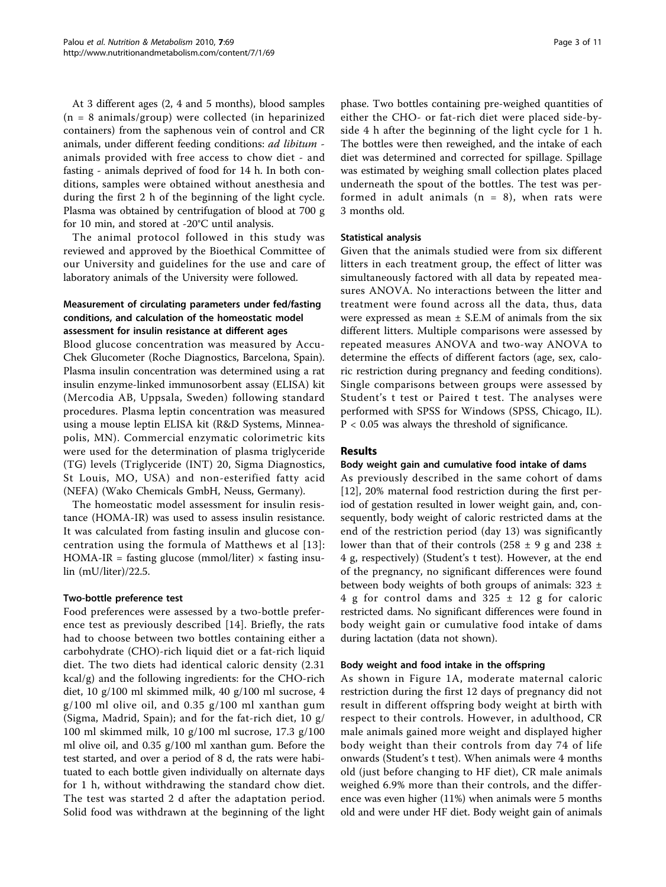At 3 different ages (2, 4 and 5 months), blood samples  $(n = 8 \text{ animals/group})$  were collected (in heparinized containers) from the saphenous vein of control and CR animals, under different feeding conditions: ad libitum animals provided with free access to chow diet - and fasting - animals deprived of food for 14 h. In both conditions, samples were obtained without anesthesia and during the first 2 h of the beginning of the light cycle. Plasma was obtained by centrifugation of blood at 700 g for 10 min, and stored at -20°C until analysis.

The animal protocol followed in this study was reviewed and approved by the Bioethical Committee of our University and guidelines for the use and care of laboratory animals of the University were followed.

# Measurement of circulating parameters under fed/fasting conditions, and calculation of the homeostatic model assessment for insulin resistance at different ages

Blood glucose concentration was measured by Accu-Chek Glucometer (Roche Diagnostics, Barcelona, Spain). Plasma insulin concentration was determined using a rat insulin enzyme-linked immunosorbent assay (ELISA) kit (Mercodia AB, Uppsala, Sweden) following standard procedures. Plasma leptin concentration was measured using a mouse leptin ELISA kit (R&D Systems, Minneapolis, MN). Commercial enzymatic colorimetric kits were used for the determination of plasma triglyceride (TG) levels (Triglyceride (INT) 20, Sigma Diagnostics, St Louis, MO, USA) and non-esterified fatty acid (NEFA) (Wako Chemicals GmbH, Neuss, Germany).

The homeostatic model assessment for insulin resistance (HOMA-IR) was used to assess insulin resistance. It was calculated from fasting insulin and glucose concentration using the formula of Matthews et al [[13\]](#page-9-0):  $HOMA-IR =$  fasting glucose (mmol/liter)  $\times$  fasting insulin (mU/liter)/22.5.

# Two-bottle preference test

Food preferences were assessed by a two-bottle preference test as previously described [[14](#page-9-0)]. Briefly, the rats had to choose between two bottles containing either a carbohydrate (CHO)-rich liquid diet or a fat-rich liquid diet. The two diets had identical caloric density (2.31 kcal/g) and the following ingredients: for the CHO-rich diet, 10 g/100 ml skimmed milk, 40 g/100 ml sucrose, 4  $g/100$  ml olive oil, and 0.35  $g/100$  ml xanthan gum (Sigma, Madrid, Spain); and for the fat-rich diet, 10 g/ 100 ml skimmed milk, 10 g/100 ml sucrose, 17.3 g/100 ml olive oil, and 0.35 g/100 ml xanthan gum. Before the test started, and over a period of 8 d, the rats were habituated to each bottle given individually on alternate days for 1 h, without withdrawing the standard chow diet. The test was started 2 d after the adaptation period. Solid food was withdrawn at the beginning of the light phase. Two bottles containing pre-weighed quantities of either the CHO- or fat-rich diet were placed side-byside 4 h after the beginning of the light cycle for 1 h. The bottles were then reweighed, and the intake of each diet was determined and corrected for spillage. Spillage was estimated by weighing small collection plates placed underneath the spout of the bottles. The test was performed in adult animals ( $n = 8$ ), when rats were 3 months old.

#### Statistical analysis

Given that the animals studied were from six different litters in each treatment group, the effect of litter was simultaneously factored with all data by repeated measures ANOVA. No interactions between the litter and treatment were found across all the data, thus, data were expressed as mean ± S.E.M of animals from the six different litters. Multiple comparisons were assessed by repeated measures ANOVA and two-way ANOVA to determine the effects of different factors (age, sex, caloric restriction during pregnancy and feeding conditions). Single comparisons between groups were assessed by Student's t test or Paired t test. The analyses were performed with SPSS for Windows (SPSS, Chicago, IL). P < 0.05 was always the threshold of significance.

# Results

# Body weight gain and cumulative food intake of dams

As previously described in the same cohort of dams [[12\]](#page-9-0), 20% maternal food restriction during the first period of gestation resulted in lower weight gain, and, consequently, body weight of caloric restricted dams at the end of the restriction period (day 13) was significantly lower than that of their controls (258  $\pm$  9 g and 238  $\pm$ 4 g, respectively) (Student's t test). However, at the end of the pregnancy, no significant differences were found between body weights of both groups of animals: 323 ± 4 g for control dams and 325 ± 12 g for caloric restricted dams. No significant differences were found in body weight gain or cumulative food intake of dams during lactation (data not shown).

# Body weight and food intake in the offspring

As shown in Figure [1A,](#page-3-0) moderate maternal caloric restriction during the first 12 days of pregnancy did not result in different offspring body weight at birth with respect to their controls. However, in adulthood, CR male animals gained more weight and displayed higher body weight than their controls from day 74 of life onwards (Student's t test). When animals were 4 months old (just before changing to HF diet), CR male animals weighed 6.9% more than their controls, and the difference was even higher (11%) when animals were 5 months old and were under HF diet. Body weight gain of animals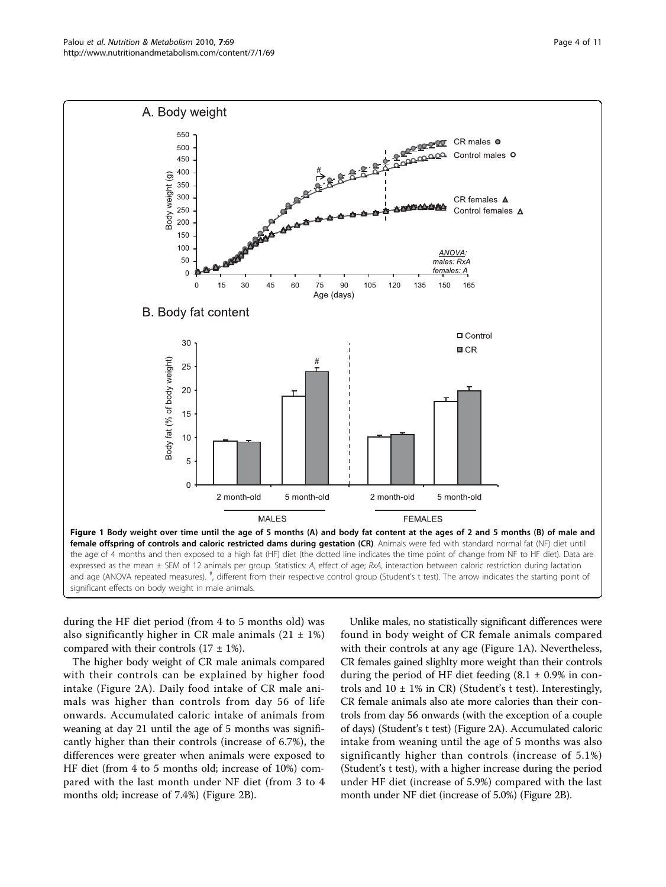<span id="page-3-0"></span>

during the HF diet period (from 4 to 5 months old) was also significantly higher in CR male animals  $(21 \pm 1\%)$ compared with their controls  $(17 \pm 1\%)$ .

The higher body weight of CR male animals compared with their controls can be explained by higher food intake (Figure [2A](#page-4-0)). Daily food intake of CR male animals was higher than controls from day 56 of life onwards. Accumulated caloric intake of animals from weaning at day 21 until the age of 5 months was significantly higher than their controls (increase of 6.7%), the differences were greater when animals were exposed to HF diet (from 4 to 5 months old; increase of 10%) compared with the last month under NF diet (from 3 to 4 months old; increase of 7.4%) (Figure [2B](#page-4-0)).

Unlike males, no statistically significant differences were found in body weight of CR female animals compared with their controls at any age (Figure 1A). Nevertheless, CR females gained slighlty more weight than their controls during the period of HF diet feeding  $(8.1 \pm 0.9\%$  in controls and  $10 \pm 1\%$  in CR) (Student's t test). Interestingly, CR female animals also ate more calories than their controls from day 56 onwards (with the exception of a couple of days) (Student's t test) (Figure [2A\)](#page-4-0). Accumulated caloric intake from weaning until the age of 5 months was also significantly higher than controls (increase of 5.1%) (Student's t test), with a higher increase during the period under HF diet (increase of 5.9%) compared with the last month under NF diet (increase of 5.0%) (Figure [2B\)](#page-4-0).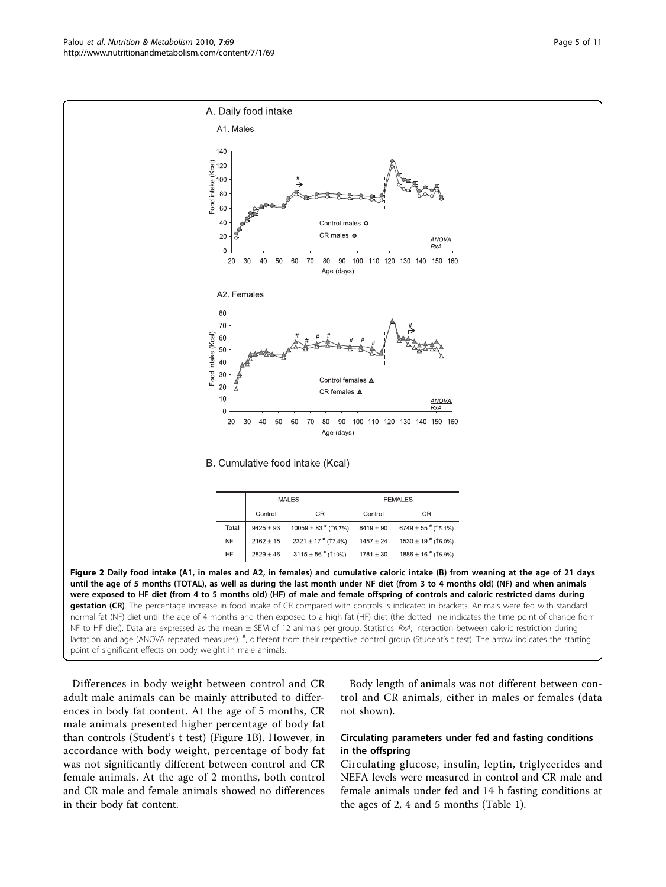<span id="page-4-0"></span>

point of significant effects on body weight in male animals.

Differences in body weight between control and CR adult male animals can be mainly attributed to differences in body fat content. At the age of 5 months, CR male animals presented higher percentage of body fat than controls (Student's t test) (Figure [1B](#page-3-0)). However, in accordance with body weight, percentage of body fat was not significantly different between control and CR female animals. At the age of 2 months, both control and CR male and female animals showed no differences in their body fat content.

Body length of animals was not different between control and CR animals, either in males or females (data not shown).

# Circulating parameters under fed and fasting conditions in the offspring

Circulating glucose, insulin, leptin, triglycerides and NEFA levels were measured in control and CR male and female animals under fed and 14 h fasting conditions at the ages of 2, 4 and 5 months (Table [1](#page-5-0)).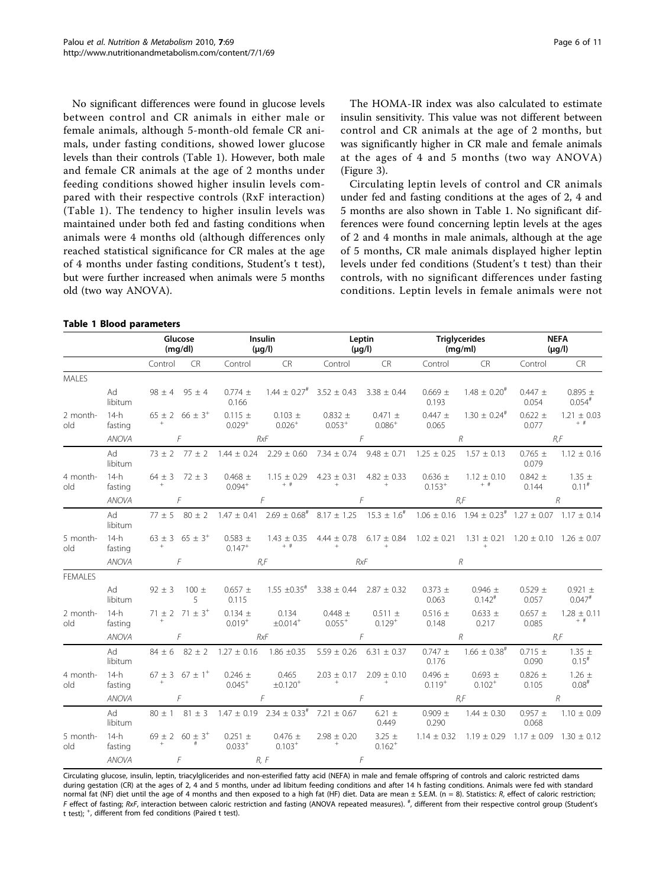<span id="page-5-0"></span>No significant differences were found in glucose levels between control and CR animals in either male or female animals, although 5-month-old female CR animals, under fasting conditions, showed lower glucose levels than their controls (Table 1). However, both male and female CR animals at the age of 2 months under feeding conditions showed higher insulin levels compared with their respective controls (RxF interaction) (Table 1). The tendency to higher insulin levels was maintained under both fed and fasting conditions when animals were 4 months old (although differences only reached statistical significance for CR males at the age of 4 months under fasting conditions, Student's t test), but were further increased when animals were 5 months old (two way ANOVA).

The HOMA-IR index was also calculated to estimate insulin sensitivity. This value was not different between control and CR animals at the age of 2 months, but was significantly higher in CR male and female animals at the ages of 4 and 5 months (two way ANOVA) (Figure [3\)](#page-6-0).

Circulating leptin levels of control and CR animals under fed and fasting conditions at the ages of 2, 4 and 5 months are also shown in Table 1. No significant differences were found concerning leptin levels at the ages of 2 and 4 months in male animals, although at the age of 5 months, CR male animals displayed higher leptin levels under fed conditions (Student's t test) than their controls, with no significant differences under fasting conditions. Leptin levels in female animals were not

#### Table 1 Blood parameters

|                 |                   | Glucose<br>(mq/dl)                                                                                                                                      | Insulin<br>(µg/l)              |                                                                                                                                             | Leptin<br>(µg/l)                                |                                          | <b>Triglycerides</b><br>(mg/ml) |                                                                 | <b>NEFA</b><br>$(\mu q/l)$ |                            |
|-----------------|-------------------|---------------------------------------------------------------------------------------------------------------------------------------------------------|--------------------------------|---------------------------------------------------------------------------------------------------------------------------------------------|-------------------------------------------------|------------------------------------------|---------------------------------|-----------------------------------------------------------------|----------------------------|----------------------------|
|                 |                   | Control<br><b>CR</b>                                                                                                                                    | Control                        | <b>CR</b>                                                                                                                                   | Control                                         | <b>CR</b>                                | Control                         | <b>CR</b>                                                       | Control                    | <b>CR</b>                  |
| <b>MALES</b>    |                   |                                                                                                                                                         |                                |                                                                                                                                             |                                                 |                                          |                                 |                                                                 |                            |                            |
|                 | Ad<br>libitum     | $98 \pm 4$ 95 $\pm 4$                                                                                                                                   | $0.774 \pm$<br>0.166           | $1.44 \pm 0.27^{\#}$ 3.52 $\pm$ 0.43                                                                                                        |                                                 | $3.38 \pm 0.44$                          | $0.669 \pm$<br>0.193            | $1.48 \pm 0.20$ <sup>#</sup>                                    | $0.447 \pm$<br>0.054       | $0.895 \pm$<br>$0.054^{#}$ |
| 2 month-<br>old | $14-h$<br>fasting | $65 \pm 2$ 66 $\pm$ 3 <sup>+</sup>                                                                                                                      | $0.115 \pm$<br>$0.029^{+}$     | $0.103 \pm$<br>$0.026^{+}$                                                                                                                  | $0.832 \pm$<br>$0.053^{+}$                      | $0.471 \pm$<br>$0.086^{+}$               | $0.447 \pm$<br>0.065            | $1.30 \pm 0.24$ #                                               | $0.622 \pm$<br>0.077       | $1.21 \pm 0.03$<br>$+$ #   |
|                 | <b>ANOVA</b>      | $\sqrt{2}$                                                                                                                                              | RxF                            |                                                                                                                                             | $\overline{F}$                                  |                                          | R                               |                                                                 | $R$ , $F$                  |                            |
|                 | Ad<br>libitum     | $73 \pm 2$ $77 \pm 2$ $1.44 \pm 0.24$ $2.29 \pm 0.60$ $7.34 \pm 0.74$ $9.48 \pm 0.71$ $1.25 \pm 0.25$ $1.57 \pm 0.13$                                   |                                |                                                                                                                                             |                                                 |                                          |                                 |                                                                 | $0.765 \pm$<br>0.079       | $1.12 \pm 0.16$            |
| 4 month-<br>old | $14-h$<br>fasting | $64 \pm 3$ 72 ± 3                                                                                                                                       | $0.468 \pm$<br>$0.094^{+}$ + # |                                                                                                                                             | $1.15 \pm 0.29$ 4.23 $\pm$ 0.31 4.82 $\pm$ 0.33 |                                          | $0.636 \pm$<br>$0.153^{+}$      | $1.12 \pm 0.10$<br>$+$ #                                        | $0.842 \pm$<br>0.144       | $1.35 \pm$<br>$0.11^{#}$   |
|                 | <b>ANOVA</b>      | $\sqrt{F}$                                                                                                                                              | $\sqrt{2}$                     |                                                                                                                                             | F                                               |                                          | R,F                             |                                                                 | $\mathcal{R}$              |                            |
|                 | Ad<br>libitum     | $77 \pm 5$ 80 ± 2 1.47 ± 0.41 2.69 ± 0.68 <sup>#</sup> 8.17 ± 1.25 15.3 ± 1.6 <sup>#</sup> 1.06 ± 0.16 1.94 ± 0.23 <sup>#</sup> 1.27 ± 0.07 1.17 ± 0.14 |                                |                                                                                                                                             |                                                 |                                          |                                 |                                                                 |                            |                            |
| 5 month-<br>old | $14-h$<br>fasting | $63 \pm 3$ $65 \pm 3$ <sup>+</sup>                                                                                                                      | $0.583 \pm$<br>$0.147^{+}$     | $1.43 \pm 0.35$ 4.44 $\pm$ 0.78 6.17 $\pm$ 0.84 1.02 $\pm$ 0.21 1.31 $\pm$ 0.21 1.20 $\pm$ 0.10 1.26 $\pm$ 0.07<br>$\qquad \quad +\quad \#$ |                                                 |                                          |                                 |                                                                 |                            |                            |
|                 | <b>ANOVA</b>      | $\overline{F}$                                                                                                                                          | $R$ , $F$                      |                                                                                                                                             | RxF                                             |                                          | $\mathcal{R}$                   |                                                                 |                            |                            |
| <b>FEMALES</b>  |                   |                                                                                                                                                         |                                |                                                                                                                                             |                                                 |                                          |                                 |                                                                 |                            |                            |
|                 | Ad<br>libitum     | $92 \pm 3$ 100 ±<br>5                                                                                                                                   | $0.657 \pm$<br>0.115           | $1.55 \pm 0.35^{\#}$                                                                                                                        |                                                 | $3.38 \pm 0.44$ 2.87 $\pm$ 0.32          | $0.373 \pm$<br>0.063            | $0.946 \pm$<br>$0.142^{#}$                                      | $0.529 \pm$<br>0.057       | $0.921 \pm$<br>$0.047$ #   |
| 2 month-<br>old | $14-h$<br>fasting | $71 \pm 2$ 71 $\pm$ 3 <sup>+</sup>                                                                                                                      | $0.134 \pm$<br>$0.019^{+}$     | 0.134<br>$\pm 0.014$ <sup>+</sup>                                                                                                           | $0.448 \pm$<br>$0.055^{+}$                      | $0.511 \pm$<br>$0.129^{+}$               | $0.516 \pm$<br>0.148            | $0.633 \pm$<br>0.217                                            | $0.657 \pm$<br>0.085       | $1.28 \pm 0.11$<br>$+$ #   |
|                 | <b>ANOVA</b>      | F                                                                                                                                                       | RxF                            |                                                                                                                                             | $\sqrt{ }$                                      |                                          | R                               |                                                                 | R,F                        |                            |
|                 | Ad<br>libitum     | $84 \pm 6$ $82 \pm 2$ $1.27 \pm 0.16$ $1.86 \pm 0.35$ $5.59 \pm 0.26$ $6.31 \pm 0.37$                                                                   |                                |                                                                                                                                             |                                                 |                                          | $0.747 \pm$<br>0.176            | $1.66 \pm 0.38$ #                                               | $0.715 \pm$<br>0.090       | $1.35 \pm$<br>$0.15^{#}$   |
| 4 month-<br>old | 14-h<br>fasting   | $67 \pm 3$ $67 \pm 1$ <sup>+</sup><br>$+$                                                                                                               | $0.246 \pm$<br>$0.045^{+}$     | 0.465<br>$\pm 0.120^{+}$                                                                                                                    | $+$                                             | $2.03 \pm 0.17$ 2.09 $\pm$ 0.10<br>$\pm$ | $0.496 \pm$<br>$0.119^{+}$      | $0.693 \pm$<br>$0.102^{+}$                                      | $0.826 \pm$<br>0.105       | $1.26 \pm$<br>$0.08^{#}$   |
|                 | <b>ANOVA</b>      | $\sqrt{2}$                                                                                                                                              | $\sqrt{F}$                     |                                                                                                                                             | $\sqrt{2}$                                      |                                          | R.F                             |                                                                 | $R_{\rm}$                  |                            |
|                 | Ad<br>libitum     | $80 \pm 1$ $81 \pm 3$ $1.47 \pm 0.19$ $2.34 \pm 0.33$ <sup>#</sup> $7.21 \pm 0.67$                                                                      |                                |                                                                                                                                             |                                                 | $6.21 \pm$<br>0.449                      | $0.909 \pm$<br>0.290            | $1.44 \pm 0.30$                                                 | $0.957 \pm$<br>0.068       | $1.10 \pm 0.09$            |
| 5 month-<br>old | $14-h$<br>fasting | $69 \pm 2$ $60 \pm 3$ <sup>+</sup><br>#                                                                                                                 | $0.251 \pm$<br>$0.033^{+}$     | $0.476 \pm$<br>$0.103^{+}$                                                                                                                  | $2.98 \pm 0.20$                                 | $3.25 \pm$<br>$0.162^{+}$                |                                 | $1.14 \pm 0.32$ $1.19 \pm 0.29$ $1.17 \pm 0.09$ $1.30 \pm 0.12$ |                            |                            |
|                 | <b>ANOVA</b>      | F                                                                                                                                                       |                                | R, F                                                                                                                                        |                                                 | F                                        |                                 |                                                                 |                            |                            |

Circulating glucose, insulin, leptin, triacylglicerides and non-esterified fatty acid (NEFA) in male and female offspring of controls and caloric restricted dams during gestation (CR) at the ages of 2, 4 and 5 months, under ad libitum feeding conditions and after 14 h fasting conditions. Animals were fed with standard normal fat (NF) diet until the age of 4 months and then exposed to a high fat (HF) diet. Data are mean ± S.E.M. (n = 8). Statistics: R, effect of caloric restriction; F effect of fasting; RxF, interaction between caloric restriction and fasting (ANOVA repeated measures). <sup>#</sup>, different from their respective control group (Student's t test); <sup>+</sup> , different from fed conditions (Paired t test).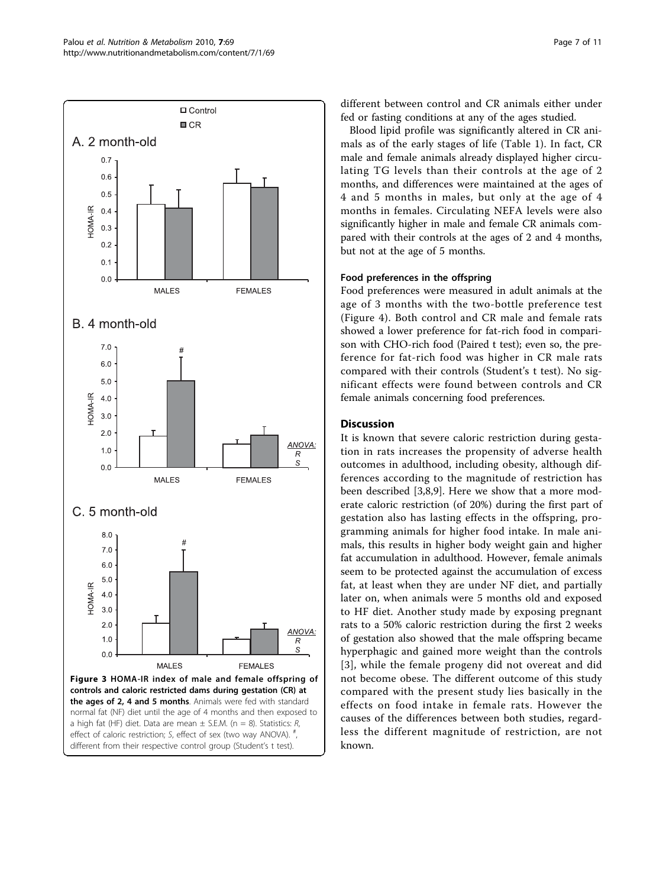<span id="page-6-0"></span>

different between control and CR animals either under fed or fasting conditions at any of the ages studied.

Blood lipid profile was significantly altered in CR animals as of the early stages of life (Table [1](#page-5-0)). In fact, CR male and female animals already displayed higher circulating TG levels than their controls at the age of 2 months, and differences were maintained at the ages of 4 and 5 months in males, but only at the age of 4 months in females. Circulating NEFA levels were also significantly higher in male and female CR animals compared with their controls at the ages of 2 and 4 months, but not at the age of 5 months.

#### Food preferences in the offspring

Food preferences were measured in adult animals at the age of 3 months with the two-bottle preference test (Figure [4\)](#page-7-0). Both control and CR male and female rats showed a lower preference for fat-rich food in comparison with CHO-rich food (Paired t test); even so, the preference for fat-rich food was higher in CR male rats compared with their controls (Student's t test). No significant effects were found between controls and CR female animals concerning food preferences.

# **Discussion**

It is known that severe caloric restriction during gestation in rats increases the propensity of adverse health outcomes in adulthood, including obesity, although differences according to the magnitude of restriction has been described [\[3,8](#page-9-0),[9\]](#page-9-0). Here we show that a more moderate caloric restriction (of 20%) during the first part of gestation also has lasting effects in the offspring, programming animals for higher food intake. In male animals, this results in higher body weight gain and higher fat accumulation in adulthood. However, female animals seem to be protected against the accumulation of excess fat, at least when they are under NF diet, and partially later on, when animals were 5 months old and exposed to HF diet. Another study made by exposing pregnant rats to a 50% caloric restriction during the first 2 weeks of gestation also showed that the male offspring became hyperphagic and gained more weight than the controls [[3](#page-9-0)], while the female progeny did not overeat and did not become obese. The different outcome of this study compared with the present study lies basically in the effects on food intake in female rats. However the causes of the differences between both studies, regardless the different magnitude of restriction, are not known.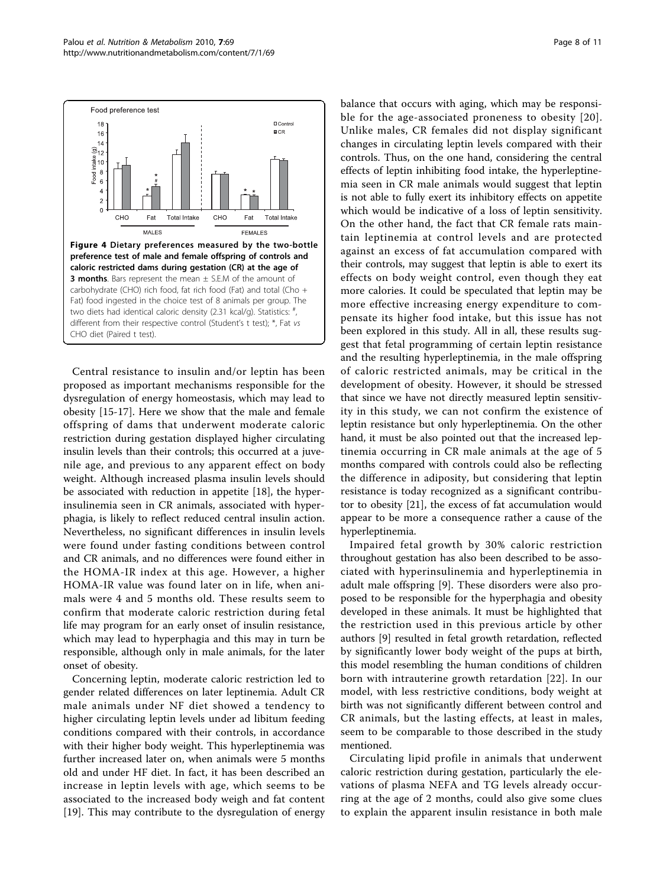<span id="page-7-0"></span>

Central resistance to insulin and/or leptin has been proposed as important mechanisms responsible for the dysregulation of energy homeostasis, which may lead to obesity [[15-17](#page-9-0)]. Here we show that the male and female offspring of dams that underwent moderate caloric restriction during gestation displayed higher circulating insulin levels than their controls; this occurred at a juvenile age, and previous to any apparent effect on body weight. Although increased plasma insulin levels should be associated with reduction in appetite [[18\]](#page-9-0), the hyperinsulinemia seen in CR animals, associated with hyperphagia, is likely to reflect reduced central insulin action. Nevertheless, no significant differences in insulin levels were found under fasting conditions between control and CR animals, and no differences were found either in the HOMA-IR index at this age. However, a higher HOMA-IR value was found later on in life, when animals were 4 and 5 months old. These results seem to confirm that moderate caloric restriction during fetal life may program for an early onset of insulin resistance, which may lead to hyperphagia and this may in turn be responsible, although only in male animals, for the later onset of obesity.

Concerning leptin, moderate caloric restriction led to gender related differences on later leptinemia. Adult CR male animals under NF diet showed a tendency to higher circulating leptin levels under ad libitum feeding conditions compared with their controls, in accordance with their higher body weight. This hyperleptinemia was further increased later on, when animals were 5 months old and under HF diet. In fact, it has been described an increase in leptin levels with age, which seems to be associated to the increased body weigh and fat content [[19\]](#page-9-0). This may contribute to the dysregulation of energy balance that occurs with aging, which may be responsible for the age-associated proneness to obesity [[20\]](#page-10-0). Unlike males, CR females did not display significant changes in circulating leptin levels compared with their controls. Thus, on the one hand, considering the central effects of leptin inhibiting food intake, the hyperleptinemia seen in CR male animals would suggest that leptin is not able to fully exert its inhibitory effects on appetite which would be indicative of a loss of leptin sensitivity. On the other hand, the fact that CR female rats maintain leptinemia at control levels and are protected against an excess of fat accumulation compared with their controls, may suggest that leptin is able to exert its effects on body weight control, even though they eat more calories. It could be speculated that leptin may be more effective increasing energy expenditure to compensate its higher food intake, but this issue has not been explored in this study. All in all, these results suggest that fetal programming of certain leptin resistance and the resulting hyperleptinemia, in the male offspring of caloric restricted animals, may be critical in the development of obesity. However, it should be stressed that since we have not directly measured leptin sensitivity in this study, we can not confirm the existence of leptin resistance but only hyperleptinemia. On the other hand, it must be also pointed out that the increased leptinemia occurring in CR male animals at the age of 5 months compared with controls could also be reflecting the difference in adiposity, but considering that leptin resistance is today recognized as a significant contributor to obesity [[21](#page-10-0)], the excess of fat accumulation would appear to be more a consequence rather a cause of the hyperleptinemia.

Impaired fetal growth by 30% caloric restriction throughout gestation has also been described to be associated with hyperinsulinemia and hyperleptinemia in adult male offspring [\[9](#page-9-0)]. These disorders were also proposed to be responsible for the hyperphagia and obesity developed in these animals. It must be highlighted that the restriction used in this previous article by other authors [[9\]](#page-9-0) resulted in fetal growth retardation, reflected by significantly lower body weight of the pups at birth, this model resembling the human conditions of children born with intrauterine growth retardation [[22](#page-10-0)]. In our model, with less restrictive conditions, body weight at birth was not significantly different between control and CR animals, but the lasting effects, at least in males, seem to be comparable to those described in the study mentioned.

Circulating lipid profile in animals that underwent caloric restriction during gestation, particularly the elevations of plasma NEFA and TG levels already occurring at the age of 2 months, could also give some clues to explain the apparent insulin resistance in both male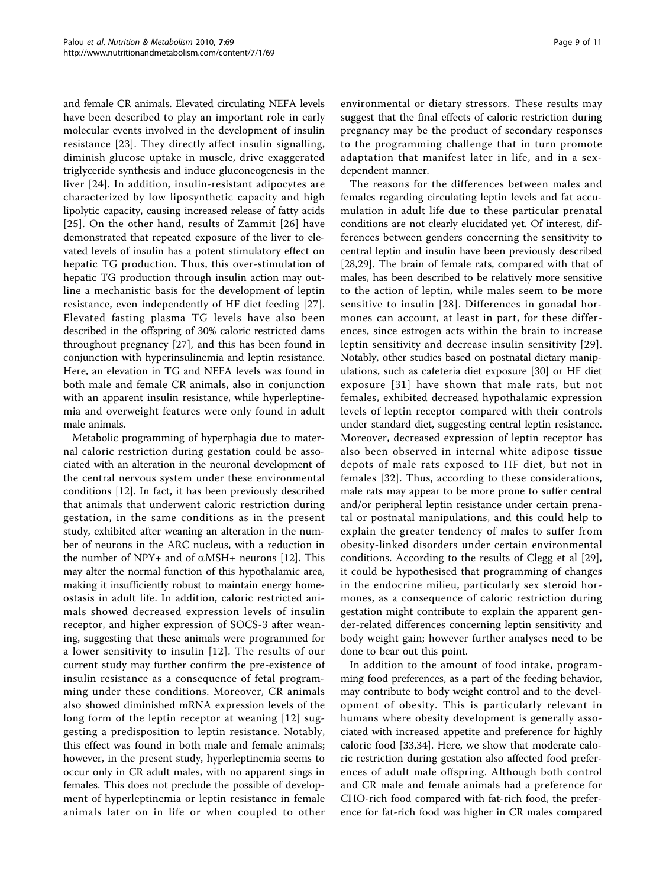and female CR animals. Elevated circulating NEFA levels have been described to play an important role in early molecular events involved in the development of insulin resistance [[23\]](#page-10-0). They directly affect insulin signalling, diminish glucose uptake in muscle, drive exaggerated triglyceride synthesis and induce gluconeogenesis in the liver [\[24\]](#page-10-0). In addition, insulin-resistant adipocytes are characterized by low liposynthetic capacity and high lipolytic capacity, causing increased release of fatty acids [[25](#page-10-0)]. On the other hand, results of Zammit [[26](#page-10-0)] have demonstrated that repeated exposure of the liver to elevated levels of insulin has a potent stimulatory effect on hepatic TG production. Thus, this over-stimulation of hepatic TG production through insulin action may outline a mechanistic basis for the development of leptin resistance, even independently of HF diet feeding [[27](#page-10-0)]. Elevated fasting plasma TG levels have also been described in the offspring of 30% caloric restricted dams throughout pregnancy [\[27](#page-10-0)], and this has been found in conjunction with hyperinsulinemia and leptin resistance. Here, an elevation in TG and NEFA levels was found in both male and female CR animals, also in conjunction with an apparent insulin resistance, while hyperleptinemia and overweight features were only found in adult male animals.

Metabolic programming of hyperphagia due to maternal caloric restriction during gestation could be associated with an alteration in the neuronal development of the central nervous system under these environmental conditions [\[12](#page-9-0)]. In fact, it has been previously described that animals that underwent caloric restriction during gestation, in the same conditions as in the present study, exhibited after weaning an alteration in the number of neurons in the ARC nucleus, with a reduction in the number of NPY+ and of  $\alpha$ MSH+ neurons [[12\]](#page-9-0). This may alter the normal function of this hypothalamic area, making it insufficiently robust to maintain energy homeostasis in adult life. In addition, caloric restricted animals showed decreased expression levels of insulin receptor, and higher expression of SOCS-3 after weaning, suggesting that these animals were programmed for a lower sensitivity to insulin [[12](#page-9-0)]. The results of our current study may further confirm the pre-existence of insulin resistance as a consequence of fetal programming under these conditions. Moreover, CR animals also showed diminished mRNA expression levels of the long form of the leptin receptor at weaning [[12](#page-9-0)] suggesting a predisposition to leptin resistance. Notably, this effect was found in both male and female animals; however, in the present study, hyperleptinemia seems to occur only in CR adult males, with no apparent sings in females. This does not preclude the possible of development of hyperleptinemia or leptin resistance in female animals later on in life or when coupled to other

environmental or dietary stressors. These results may suggest that the final effects of caloric restriction during pregnancy may be the product of secondary responses to the programming challenge that in turn promote adaptation that manifest later in life, and in a sexdependent manner.

The reasons for the differences between males and females regarding circulating leptin levels and fat accumulation in adult life due to these particular prenatal conditions are not clearly elucidated yet. Of interest, differences between genders concerning the sensitivity to central leptin and insulin have been previously described [[28,29\]](#page-10-0). The brain of female rats, compared with that of males, has been described to be relatively more sensitive to the action of leptin, while males seem to be more sensitive to insulin [[28\]](#page-10-0). Differences in gonadal hormones can account, at least in part, for these differences, since estrogen acts within the brain to increase leptin sensitivity and decrease insulin sensitivity [[29\]](#page-10-0). Notably, other studies based on postnatal dietary manipulations, such as cafeteria diet exposure [\[30](#page-10-0)] or HF diet exposure [[31](#page-10-0)] have shown that male rats, but not females, exhibited decreased hypothalamic expression levels of leptin receptor compared with their controls under standard diet, suggesting central leptin resistance. Moreover, decreased expression of leptin receptor has also been observed in internal white adipose tissue depots of male rats exposed to HF diet, but not in females [[32\]](#page-10-0). Thus, according to these considerations, male rats may appear to be more prone to suffer central and/or peripheral leptin resistance under certain prenatal or postnatal manipulations, and this could help to explain the greater tendency of males to suffer from obesity-linked disorders under certain environmental conditions. According to the results of Clegg et al [\[29](#page-10-0)], it could be hypothesised that programming of changes in the endocrine milieu, particularly sex steroid hormones, as a consequence of caloric restriction during gestation might contribute to explain the apparent gender-related differences concerning leptin sensitivity and body weight gain; however further analyses need to be done to bear out this point.

In addition to the amount of food intake, programming food preferences, as a part of the feeding behavior, may contribute to body weight control and to the development of obesity. This is particularly relevant in humans where obesity development is generally associated with increased appetite and preference for highly caloric food [[33](#page-10-0),[34\]](#page-10-0). Here, we show that moderate caloric restriction during gestation also affected food preferences of adult male offspring. Although both control and CR male and female animals had a preference for CHO-rich food compared with fat-rich food, the preference for fat-rich food was higher in CR males compared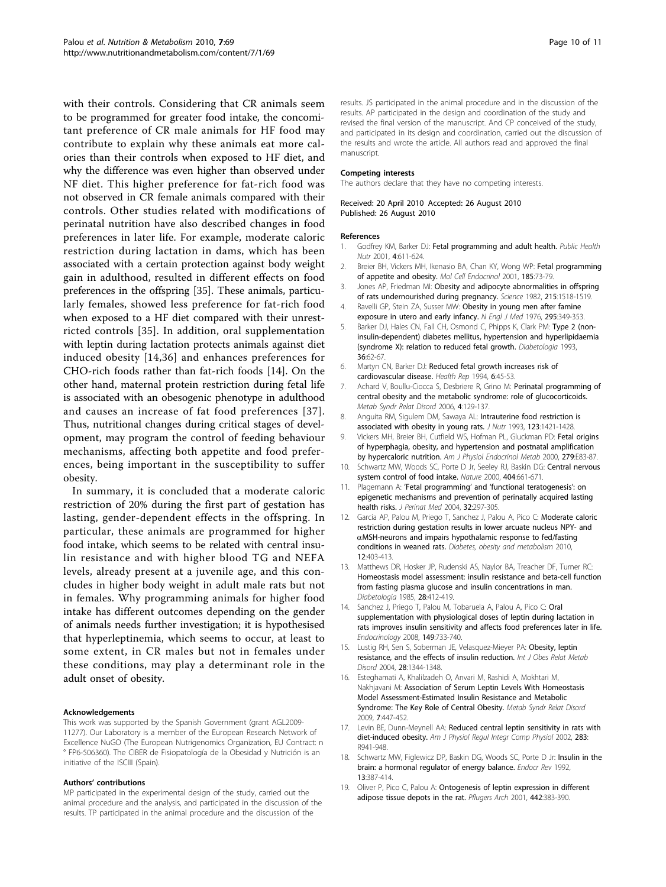<span id="page-9-0"></span>with their controls. Considering that CR animals seem to be programmed for greater food intake, the concomitant preference of CR male animals for HF food may contribute to explain why these animals eat more calories than their controls when exposed to HF diet, and why the difference was even higher than observed under NF diet. This higher preference for fat-rich food was not observed in CR female animals compared with their controls. Other studies related with modifications of perinatal nutrition have also described changes in food preferences in later life. For example, moderate caloric restriction during lactation in dams, which has been associated with a certain protection against body weight gain in adulthood, resulted in different effects on food preferences in the offspring [\[35\]](#page-10-0). These animals, particularly females, showed less preference for fat-rich food when exposed to a HF diet compared with their unrestricted controls [\[35\]](#page-10-0). In addition, oral supplementation with leptin during lactation protects animals against diet induced obesity [14,[36](#page-10-0)] and enhances preferences for CHO-rich foods rather than fat-rich foods [14]. On the other hand, maternal protein restriction during fetal life is associated with an obesogenic phenotype in adulthood and causes an increase of fat food preferences [[37\]](#page-10-0). Thus, nutritional changes during critical stages of development, may program the control of feeding behaviour mechanisms, affecting both appetite and food preferences, being important in the susceptibility to suffer obesity.

In summary, it is concluded that a moderate caloric restriction of 20% during the first part of gestation has lasting, gender-dependent effects in the offspring. In particular, these animals are programmed for higher food intake, which seems to be related with central insulin resistance and with higher blood TG and NEFA levels, already present at a juvenile age, and this concludes in higher body weight in adult male rats but not in females. Why programming animals for higher food intake has different outcomes depending on the gender of animals needs further investigation; it is hypothesised that hyperleptinemia, which seems to occur, at least to some extent, in CR males but not in females under these conditions, may play a determinant role in the adult onset of obesity.

#### Acknowledgements

This work was supported by the Spanish Government (grant AGL2009- 11277). Our Laboratory is a member of the European Research Network of Excellence NuGO (The European Nutrigenomics Organization, EU Contract: n ° FP6-506360). The CIBER de Fisiopatología de la Obesidad y Nutrición is an initiative of the ISCIII (Spain).

#### Authors' contributions

MP participated in the experimental design of the study, carried out the animal procedure and the analysis, and participated in the discussion of the results. TP participated in the animal procedure and the discussion of the

results. JS participated in the animal procedure and in the discussion of the results. AP participated in the design and coordination of the study and revised the final version of the manuscript. And CP conceived of the study, and participated in its design and coordination, carried out the discussion of the results and wrote the article. All authors read and approved the final manuscript.

#### Competing interests

The authors declare that they have no competing interests.

#### Received: 20 April 2010 Accepted: 26 August 2010 Published: 26 August 2010

#### References

- Godfrey KM, Barker DJ: [Fetal programming and adult health.](http://www.ncbi.nlm.nih.gov/pubmed/11683554?dopt=Abstract) Public Health Nutr 2001, 4:611-624.
- 2. Breier BH, Vickers MH, Ikenasio BA, Chan KY, Wong WP: [Fetal programming](http://www.ncbi.nlm.nih.gov/pubmed/11738796?dopt=Abstract) [of appetite and obesity.](http://www.ncbi.nlm.nih.gov/pubmed/11738796?dopt=Abstract) Mol Cell Endocrinol 2001, 185:73-79.
- 3. Jones AP, Friedman MI: [Obesity and adipocyte abnormalities in offspring](http://www.ncbi.nlm.nih.gov/pubmed/7063860?dopt=Abstract) [of rats undernourished during pregnancy.](http://www.ncbi.nlm.nih.gov/pubmed/7063860?dopt=Abstract) Science 1982, 215:1518-1519.
- 4. Ravelli GP, Stein ZA, Susser MW: [Obesity in young men after famine](http://www.ncbi.nlm.nih.gov/pubmed/934222?dopt=Abstract) [exposure in utero and early infancy.](http://www.ncbi.nlm.nih.gov/pubmed/934222?dopt=Abstract) N Engl J Med 1976, 295:349-353.
- 5. Barker DJ, Hales CN, Fall CH, Osmond C, Phipps K, Clark PM: [Type 2 \(non](http://www.ncbi.nlm.nih.gov/pubmed/8436255?dopt=Abstract)[insulin-dependent\) diabetes mellitus, hypertension and hyperlipidaemia](http://www.ncbi.nlm.nih.gov/pubmed/8436255?dopt=Abstract) [\(syndrome X\): relation to reduced fetal growth.](http://www.ncbi.nlm.nih.gov/pubmed/8436255?dopt=Abstract) Diabetologia 1993, 36:62-67.
- 6. Martyn CN, Barker DJ: [Reduced fetal growth increases risk of](http://www.ncbi.nlm.nih.gov/pubmed/7919088?dopt=Abstract) [cardiovascular disease.](http://www.ncbi.nlm.nih.gov/pubmed/7919088?dopt=Abstract) Health Rep 1994, 6:45-53.
- 7. Achard V, Boullu-Ciocca S, Desbriere R, Grino M: [Perinatal programming of](http://www.ncbi.nlm.nih.gov/pubmed/18370759?dopt=Abstract) [central obesity and the metabolic syndrome: role of glucocorticoids.](http://www.ncbi.nlm.nih.gov/pubmed/18370759?dopt=Abstract) Metab Syndr Relat Disord 2006, 4:129-137.
- 8. Anguita RM, Sigulem DM, Sawaya AL: [Intrauterine food restriction is](http://www.ncbi.nlm.nih.gov/pubmed/8336213?dopt=Abstract) [associated with obesity in young rats.](http://www.ncbi.nlm.nih.gov/pubmed/8336213?dopt=Abstract) J Nutr 1993, 123:1421-1428.
- 9. Vickers MH, Breier BH, Cutfield WS, Hofman PL, Gluckman PD: [Fetal origins](http://www.ncbi.nlm.nih.gov/pubmed/10893326?dopt=Abstract) [of hyperphagia, obesity, and hypertension and postnatal amplification](http://www.ncbi.nlm.nih.gov/pubmed/10893326?dopt=Abstract) [by hypercaloric nutrition.](http://www.ncbi.nlm.nih.gov/pubmed/10893326?dopt=Abstract) Am J Physiol Endocrinol Metab 2000, 279:E83-87.
- 10. Schwartz MW, Woods SC, Porte D Jr, Seeley RJ, Baskin DG: [Central nervous](http://www.ncbi.nlm.nih.gov/pubmed/10766253?dopt=Abstract) [system control of food intake.](http://www.ncbi.nlm.nih.gov/pubmed/10766253?dopt=Abstract) Nature 2000, 404:661-671.
- 11. Plagemann A: 'Fetal programming' and '[functional teratogenesis](http://www.ncbi.nlm.nih.gov/pubmed/15346812?dopt=Abstract)': on [epigenetic mechanisms and prevention of perinatally acquired lasting](http://www.ncbi.nlm.nih.gov/pubmed/15346812?dopt=Abstract) [health risks.](http://www.ncbi.nlm.nih.gov/pubmed/15346812?dopt=Abstract) J Perinat Med 2004, 32:297-305.
- 12. Garcia AP, Palou M, Priego T, Sanchez J, Palou A, Pico C: Moderate caloric restriction during gestation results in lower arcuate nucleus NPY- and  $\alpha$ MSH-neurons and impairs hypothalamic response to fed/fasting conditions in weaned rats. Diabetes, obesity and metabolism 2010, 12:403-413.
- 13. Matthews DR, Hosker JP, Rudenski AS, Naylor BA, Treacher DF, Turner RC: [Homeostasis model assessment: insulin resistance and beta-cell function](http://www.ncbi.nlm.nih.gov/pubmed/3899825?dopt=Abstract) [from fasting plasma glucose and insulin concentrations in man.](http://www.ncbi.nlm.nih.gov/pubmed/3899825?dopt=Abstract) Diabetologia 1985, 28:412-419.
- 14. Sanchez J, Priego T, Palou M, Tobaruela A, Palou A, Pico C: [Oral](http://www.ncbi.nlm.nih.gov/pubmed/17991728?dopt=Abstract) [supplementation with physiological doses of leptin during lactation in](http://www.ncbi.nlm.nih.gov/pubmed/17991728?dopt=Abstract) [rats improves insulin sensitivity and affects food preferences later in life.](http://www.ncbi.nlm.nih.gov/pubmed/17991728?dopt=Abstract) Endocrinology 2008, 149:733-740.
- 15. Lustig RH, Sen S, Soberman JE, Velasquez-Mieyer PA: [Obesity, leptin](http://www.ncbi.nlm.nih.gov/pubmed/15314628?dopt=Abstract) [resistance, and the effects of insulin reduction.](http://www.ncbi.nlm.nih.gov/pubmed/15314628?dopt=Abstract) Int J Obes Relat Metab Disord 2004, 28:1344-1348.
- 16. Esteghamati A, Khalilzadeh O, Anvari M, Rashidi A, Mokhtari M, Nakhjavani M: [Association of Serum Leptin Levels With Homeostasis](http://www.ncbi.nlm.nih.gov/pubmed/19419266?dopt=Abstract) [Model Assessment-Estimated Insulin Resistance and Metabolic](http://www.ncbi.nlm.nih.gov/pubmed/19419266?dopt=Abstract) [Syndrome: The Key Role of Central Obesity.](http://www.ncbi.nlm.nih.gov/pubmed/19419266?dopt=Abstract) Metab Syndr Relat Disord 2009, 7:447-452.
- 17. Levin BE, Dunn-Meynell AA: [Reduced central leptin sensitivity in rats with](http://www.ncbi.nlm.nih.gov/pubmed/12228064?dopt=Abstract) [diet-induced obesity.](http://www.ncbi.nlm.nih.gov/pubmed/12228064?dopt=Abstract) Am J Physiol Regul Integr Comp Physiol 2002, 283: R941-948.
- 18. Schwartz MW, Figlewicz DP, Baskin DG, Woods SC, Porte D Jr: [Insulin in the](http://www.ncbi.nlm.nih.gov/pubmed/1425482?dopt=Abstract) [brain: a hormonal regulator of energy balance.](http://www.ncbi.nlm.nih.gov/pubmed/1425482?dopt=Abstract) Endocr Rev 1992, 13:387-414.
- 19. Oliver P, Pico C, Palou A: [Ontogenesis of leptin expression in different](http://www.ncbi.nlm.nih.gov/pubmed/11484769?dopt=Abstract) [adipose tissue depots in the rat.](http://www.ncbi.nlm.nih.gov/pubmed/11484769?dopt=Abstract) Pflugers Arch 2001, 442:383-390.